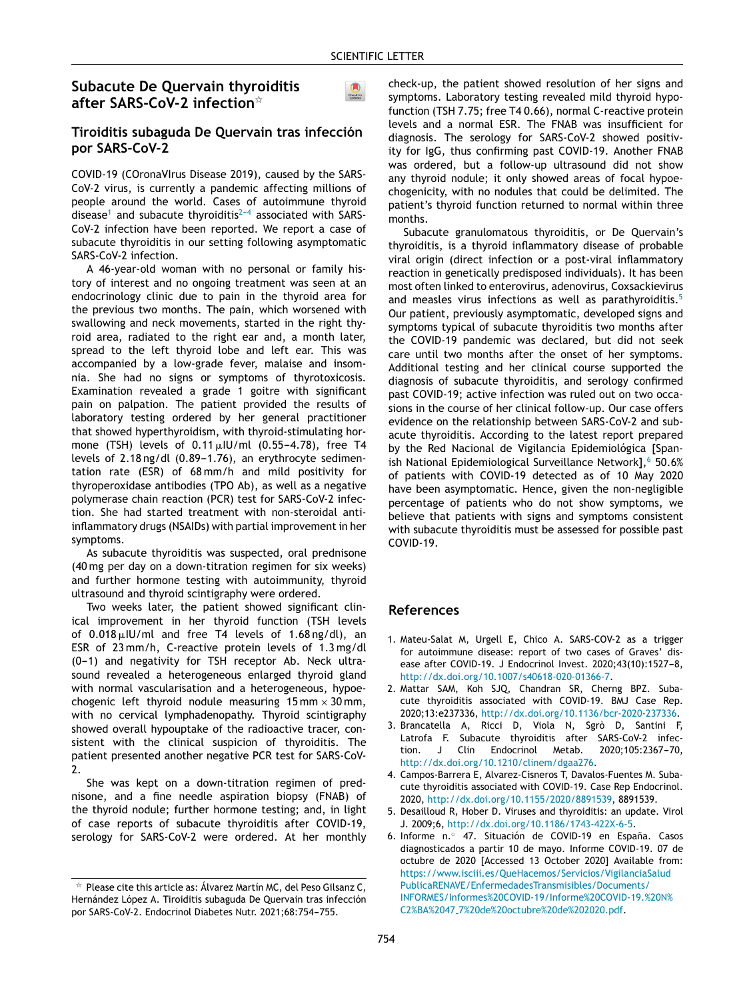$\bullet$ 

# **Subacute De Quervain thyroiditis after SARS-CoV-2 infection**-

#### **Tiroiditis subaguda De Quervain tras infección por SARS-CoV-2**

COVID-19 (COronaVIrus Disease 2019), caused by the SARS-CoV-2 virus, is currently a pandemic affecting millions of people around the world. Cases of autoimmune thyroid disease<sup>1</sup> and subacute thyroiditis<sup>2-4</sup> associated with SARS-CoV-2 infection have been reported. We report a case of subacute thyroiditis in our setting following asympto[matic](http://crossmark.crossref.org/dialog/?doi=10.1016/j.endien.2020.10.010&domain=pdf) SARS-CoV-2 infection.

A 46-year-old woman with no personal or family history of interest and no ongoing treatment was seen at an endocrinology clinic due to pain in the thyroid area for the previous two months. The pain, which worsened with swallowing and neck movements, started in the right thyroid area, radiated to the right ear and, a month later, spread to the left thyroid lobe and left ear. This was accompanied by a low-grade fever, malaise and insomnia. She had no signs or symptoms of thyrotoxicosis. Examination revealed a grade 1 goitre with significant pain on palpation. The patient provided the results of laboratory testing ordered by her general practitioner that showed hyperthyroidism, with thyroid-stimulating hormone (TSH) levels of  $0.11\,\rm \mu$ IU/ml (0.55–4.78), free T4 levels of  $2.18$  ng/dl (0.89-1.76), an erythrocyte sedimentation rate (ESR) of 68 mm/h and mild positivity for thyroperoxidase antibodies (TPO Ab), as well as a negative polymerase chain reaction (PCR) test for SARS-CoV-2 infection. She had started [treatment](dx.doi.org/10.1007/s11060-013-1354-5) with non-steroidal antiinflammatory drugs (NSAIDs) with partial improvement in her symptoms.

As subacute thyroiditis was suspected, oral prednisone (40 mg per day on a down-titration regimen for six weeks) and further [hormone](dx.doi.org/10.1007/s00701-003-0174-3) testing with autoimmunity, thyroid ultrasound and thyroid scintigraphy were ordered.

Two weeks later, the patient [showed](dx.doi.org/10.1007/s11154-019-09530-y) significant clinical improvement in her thyroid function (TSH levels of 0.018-IU/ml and free T4 levels of 1.68 ng/dl), an ESR of 23 mm/h, C-reactive protein levels of 1.3 mg/dl  $(0-1)$  and negativity for TSH receptor Ab. Neck ultrasound revealed a [heterogeneous](dx.doi.org/10.1016/j.jocn.2018.10.065) enlarged thyroid gland with normal vascularisation and a heterogeneous, hypoechogenic left thyroid nodule measuring  $15 \text{ mm} \times 30 \text{ mm}$ , with no cervical lymphadenopathy. Thyroid scintigraphy showed overall hypouptake of the [radioactive](dx.doi.org/10.1016/j.neuchi.2017.06.003) tracer, consist[ent](dx.doi.org/10.1016/j.neuchi.2017.06.003) with the clinical suspicion of thyroiditis. The patient presented another negative PCR test for SARS-CoV-2.

She was kept on a down-titration regimen of prednisone, and a fine needle aspiration biopsy (FNAB) of the thyroid nodule; further [hormone](dx.doi.org/10.1007/s12020-020-02455-6) testing; and, in light of case reports of subacute thyroiditis after COVID-19, serology for SARS-CoV-2 were ordered. At her monthly check-up, the patient showed resolution of her signs and symptoms. Laboratory testing revealed mild thyroid hypofunction (TSH 7.75; free T4 0.66), normal C-reactive protein levels and a normal ESR. The FNAB was insufficient for diagnosis. The serology for [SARS-CoV-2](dx.doi.org/10.1227/00006123-199310000-00008) showed positivity for IgG, thus confirming past COVID-19. Another FNAB [was](http://www.elsevier.es/endo) ordered, but a follow-up ultrasound did not show any thyroid nodule; it only showed areas of focal hypoechogenicity, with no nodules that could be delimited. The patient's thyroid function [returned](dx.doi.org/10.1016/j.neurad.2015.09.003) to normal within three months.

Subacute granulomatous thyroiditis, or De Quervain's thyroiditis, is a thyroid inflammatory disease of probable viral origin (direct [infection](dx.doi.org/10.1007/BF03325208) or a post-viral inflammatory reaction in genetically predisposed individuals). It has been most often linked to enterovirus, adenovirus, Coxsackievirus and measles virus infections as well as parathyroiditis.<sup>5</sup> Our patient, previously [asymptomatic,](dx.doi.org/10.12659/MSM. 909925) developed signs and symptoms typical of subacute thyroiditis two months after the COVID-19 pandemic was declared, but did not seek care until two months after the onset of her symptoms. Additional testing and her clinical course supported the diagnosis of subacute [thyroiditis,](dx.doi.org/10.1507/endocrj.EJ16-0168) and serology confirmed past COVID-19; active infection was ruled out on two occasions in the course of her clinical follow-up. Our case [offers](dx.doi.org/10.1590/2359-3997000000047) evidence on the [relationship](dx.doi.org/10.1590/2359-3997000000047) between SARS-CoV-2 and subacute thyroiditis. According to the latest report prepared by the Red Nacional de Vigilancia Epidemiológica [Spanish National Epidemiological Surveillance Network],<sup>6</sup> 50.6% of patients with COVID-19 detected as of 10 May 2020 have been asymptomatic. Hence, given the non-negligible percentage of patients who do not show symptoms, we believe that patients with signs and symptoms consistent with subacute thyroiditis must be assessed for possible past COVID-19.

#### **References**

- 1. Mateu-Salat M, Urgell E, Chico A. SARS-COV-2 as a trigger for autoimmune disease: report of two cases of Graves' disease after COVID-19. J Endocrinol Invest. 2020;43(10):1527-8, [http://dx.doi.org/10.1007/s40618-020-01366-7](dx.doi.org/10.1007/s40618-020-01366-7).
- 2. Mattar SAM, Koh SJQ, Chandran SR, Cherng BPZ. Subacute thyroiditis [associated](mailto:marta.araujo@salud.madrid.org) with COVID-19. BMJ Case Rep. 2020;13:e237336, [http://dx.doi.org/10.1136/bcr-2020-237336](dx.doi.org/10.1136/bcr-2020-237336).
- 3. Brancatella A, Ricci D, Viola N, Sgrò D, Santini F, Latrofa F. Subacute [thyroiditis](https://doi.org/10.1016/j.endinu.2020.10.005) after SARS-CoV-2 infection. J Clin Endocrinol Metab. 2020;105:2367-70, [http://dx.doi.org/10.1210/clinem/dgaa276](dx.doi.org/10.1210/clinem/dgaa276).
- 4. Campos-Barrera E, Alvarez-Cisneros T, Davalos-Fuentes M. Subacute thyroiditis associated with COVID-19. Case Rep Endocrinol. 2020, [http://dx.doi.org/10.1155/2020/8891539,](dx.doi.org/10.1155/2020/8891539) 8891539.
- 5. Desailloud R, Hober D. Viruses and thyroiditis: an update. Virol J. 2009;6, [http://dx.doi.org/10.1186/1743-422X-6-5.](dx.doi.org/10.1186/1743-422X-6-5)
- 6. Informe n.<sup>○</sup> 47. Situación de COVID-19 en España. Casos diagnosticados a partir 10 de mayo. Informe COVID-19. 07 de octubre de 2020 [Accessed 13 October 2020] Available from: [https://www.isciii.es/QueHacemos/Servicios/VigilanciaSalud](https://www.isciii.es/QueHacemos/Servicios/VigilanciaSaludPublicaRENAVE/EnfermedadesTransmisibles/Documents/INFORMES/Informes COVID-19/Informe COVID-19. N%C2%BA 47_7 de octubre de 2020.pdf) [PublicaRENAVE/EnfermedadesTransmisibles/Documents/](https://www.isciii.es/QueHacemos/Servicios/VigilanciaSaludPublicaRENAVE/EnfermedadesTransmisibles/Documents/INFORMES/Informes COVID-19/Informe COVID-19. N%C2%BA 47_7 de octubre de 2020.pdf) [INFORMES/Informes%20COVID-19/Informe%20COVID-19.%20N%](https://www.isciii.es/QueHacemos/Servicios/VigilanciaSaludPublicaRENAVE/EnfermedadesTransmisibles/Documents/INFORMES/Informes COVID-19/Informe COVID-19. N%C2%BA 47_7 de octubre de 2020.pdf) C2%BA%2047 [7%20de%20octubre%20de%202020.pdf.](https://www.isciii.es/QueHacemos/Servicios/VigilanciaSaludPublicaRENAVE/EnfermedadesTransmisibles/Documents/INFORMES/Informes COVID-19/Informe COVID-19. N%C2%BA 47_7 de octubre de 2020.pdf)

 $^\star$  Please cite this article as: Álvarez Martín MC, del Peso Gilsanz C, Hernández López A. Tiroiditis subaguda De Quervain tras infección por SARS-CoV-2. Endocrinol Diabetes Nutr. 2021;68:754-755.